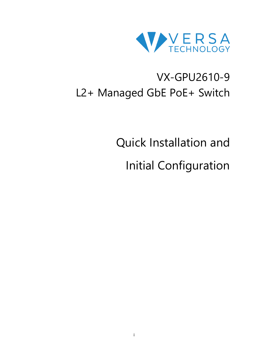

# VX-GPU2610-9 L2+ Managed GbE PoE+ Switch

Quick Installation and

Initial Configuration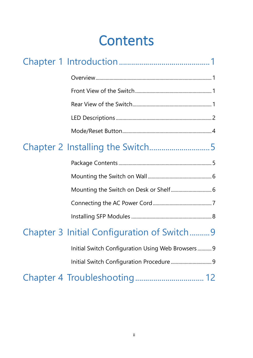# **Contents**

| Mounting the Switch on Desk or Shelf 6            |  |
|---------------------------------------------------|--|
|                                                   |  |
|                                                   |  |
| Chapter 3 Initial Configuration of Switch9        |  |
| Initial Switch Configuration Using Web Browsers 9 |  |
| Initial Switch Configuration Procedure 9          |  |
|                                                   |  |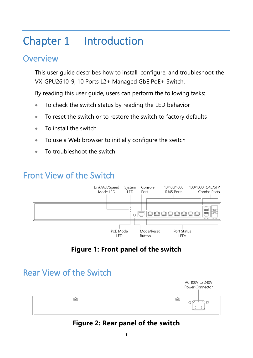# <span id="page-2-0"></span>Chapter 1 Introduction

## <span id="page-2-1"></span>**Overview**

This user guide describes how to install, configure, and troubleshoot the VX-GPU2610-9, 10 Ports L2+ Managed GbE PoE+ Switch.

By reading this user guide, users can perform the following tasks:

- To check the switch status by reading the LED behavior
- To reset the switch or to restore the switch to factory defaults
- To install the switch
- To use a Web browser to initially configure the switch
- To troubleshoot the switch

# <span id="page-2-2"></span>Front View of the Switch



## **Figure 1: Front panel of the switch**

## <span id="page-2-3"></span>Rear View of the Switch



### **Figure 2: Rear panel of the switch**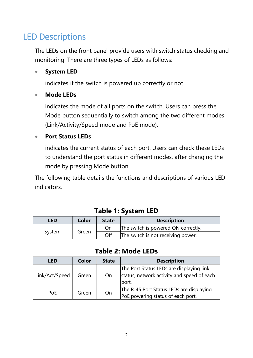## <span id="page-3-0"></span>LED Descriptions

The LEDs on the front panel provide users with switch status checking and monitoring. There are three types of LEDs as follows:

#### • **System LED**

indicates if the switch is powered up correctly or not.

#### • **Mode LEDs**

indicates the mode of all ports on the switch. Users can press the Mode button sequentially to switch among the two different modes (Link/Activity/Speed mode and PoE mode).

#### • **Port Status LEDs**

indicates the current status of each port. Users can check these LEDs to understand the port status in different modes, after changing the mode by pressing Mode button.

The following table details the functions and descriptions of various LED indicators.

| LED    | Color | <b>State</b>                              | <b>Description</b>                  |
|--------|-------|-------------------------------------------|-------------------------------------|
| System |       | On                                        | The switch is powered ON correctly. |
|        | Green | Off<br>The switch is not receiving power. |                                     |

### **Table 1: System LED**

### **Table 2: Mode LEDs**

| <b>LED</b>     | Color | <b>State</b> | <b>Description</b>                                                                              |
|----------------|-------|--------------|-------------------------------------------------------------------------------------------------|
| Link/Act/Speed | Green | On           | The Port Status LEDs are displaying link<br>status, network activity and speed of each<br>port. |
| PoE            | Green | On           | The RJ45 Port Status LEDs are displaying<br>PoE powering status of each port.                   |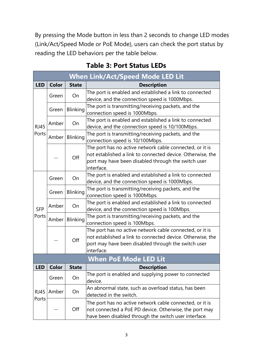By pressing the Mode button in less than 2 seconds to change LED modes (Link/Act/Speed Mode or PoE Mode), users can check the port status by reading the LED behaviors per the table below.

| <b>When Link/Act/Speed Mode LED Lit</b> |                       |                 |                                                                                                                                                                                             |  |  |
|-----------------------------------------|-----------------------|-----------------|---------------------------------------------------------------------------------------------------------------------------------------------------------------------------------------------|--|--|
| <b>LED</b>                              | <b>Color</b>          | <b>State</b>    | <b>Description</b>                                                                                                                                                                          |  |  |
|                                         | Green                 | On              | The port is enabled and established a link to connected<br>device, and the connection speed is 1000Mbps.                                                                                    |  |  |
|                                         | Green                 | <b>Blinking</b> | The port is transmitting/receiving packets, and the<br>connection speed is 1000Mbps.                                                                                                        |  |  |
| <b>RJ45</b>                             | Amber                 | On              | The port is enabled and established a link to connected<br>device, and the connection speed is 10/100Mbps.                                                                                  |  |  |
| Ports                                   | Amber                 | <b>Blinking</b> | The port is transmitting/receiving packets, and the<br>connection speed is 10/100Mbps.                                                                                                      |  |  |
|                                         |                       | Off             | The port has no active network cable connected, or it is<br>not established a link to connected device. Otherwise, the<br>port may have been disabled through the switch user<br>interface. |  |  |
|                                         | Green                 | On              | The port is enabled and established a link to connected<br>device, and the connection speed is 1000Mbps.                                                                                    |  |  |
| <b>SFP</b><br>Ports                     | Green                 | Blinking        | The port is transmitting/receiving packets, and the<br>connection speed is 1000Mbps.                                                                                                        |  |  |
|                                         | Amber                 | On              | The port is enabled and established a link to connected<br>device, and the connection speed is 100Mbps.                                                                                     |  |  |
|                                         | Amber                 | Blinking        | The port is transmitting/receiving packets, and the<br>connection speed is 100Mbps.                                                                                                         |  |  |
|                                         |                       | Off             | The port has no active network cable connected, or it is<br>not established a link to connected device. Otherwise, the<br>port may have been disabled through the switch user<br>interface. |  |  |
|                                         | When PoE Mode LED Lit |                 |                                                                                                                                                                                             |  |  |
| <b>LED</b>                              | <b>Color</b>          | <b>State</b>    | <b>Description</b>                                                                                                                                                                          |  |  |
| <b>RJ45</b><br>Ports                    | Green                 | On              | The port is enabled and supplying power to connected<br>device.                                                                                                                             |  |  |
|                                         | Amber                 | On              | An abnormal state, such as overload status, has been<br>detected in the switch.                                                                                                             |  |  |
|                                         |                       | Off             | The port has no active network cable connected, or it is<br>not connected a PoE PD device. Otherwise, the port may<br>have been disabled through the switch user interface.                 |  |  |

## **Table 3: Port Status LEDs**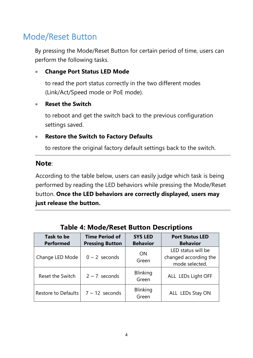# <span id="page-5-0"></span>Mode/Reset Button

By pressing the Mode/Reset Button for certain period of time, users can perform the following tasks.

#### • **Change Port Status LED Mode**

to read the port status correctly in the two different modes (Link/Act/Speed mode or PoE mode).

#### • **Reset the Switch**

to reboot and get the switch back to the previous configuration settings saved.

#### • **Restore the Switch to Factory Defaults**

to restore the original factory default settings back to the switch.

#### **Note**:

According to the table below, users can easily judge which task is being performed by reading the LED behaviors while pressing the Mode/Reset button. **Once the LED behaviors are correctly displayed, users may just release the button.**

| Task to be          | <b>Time Period of</b>  | <b>SYS LED</b>     | <b>Port Status LED</b>                                        |
|---------------------|------------------------|--------------------|---------------------------------------------------------------|
| <b>Performed</b>    | <b>Pressing Button</b> | <b>Behavior</b>    | <b>Behavior</b>                                               |
| Change LED Mode     | $0 \sim 2$ seconds     | <b>ON</b><br>Green | LED status will be<br>changed according the<br>mode selected. |
| Reset the Switch    | $2 \sim 7$ seconds     | Blinking<br>Green  | ALL LEDs Light OFF                                            |
| Restore to Defaults | $7 \sim 12$ seconds    | Blinking<br>Green  | ALL LEDs Stay ON                                              |

### **Table 4: Mode/Reset Button Descriptions**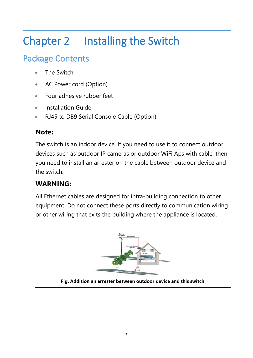# <span id="page-6-0"></span>Chapter 2 Installing the Switch

# <span id="page-6-1"></span>Package Contents

- The Switch
- AC Power cord (Option)
- Four adhesive rubber feet
- Installation Guide
- RJ45 to DB9 Serial Console Cable (Option)

## **Note:**

The switch is an indoor device. If you need to use it to connect outdoor devices such as outdoor IP cameras or outdoor WiFi Aps with cable, then you need to install an arrester on the cable between outdoor device and the switch.

## **WARNING:**

All Ethernet cables are designed for intra-building connection to other equipment. Do not connect these ports directly to communication wiring or other wiring that exits the building where the appliance is located.



**Fig. Addition an arrester between outdoor device and this switch**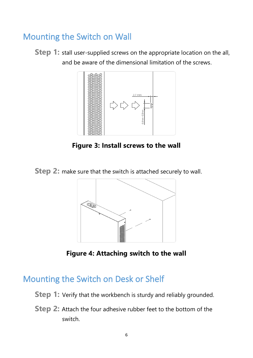## <span id="page-7-0"></span>Mounting the Switch on Wall

**Step 1:** stall user-supplied screws on the appropriate location on the all, and be aware of the dimensional limitation of the screws.



**Figure 3: Install screws to the wall**

**Step 2:** make sure that the switch is attached securely to wall.



**Figure 4: Attaching switch to the wall**

## <span id="page-7-1"></span>Mounting the Switch on Desk or Shelf

- **Step 1:** Verify that the workbench is sturdy and reliably grounded.
- **Step 2:** Attach the four adhesive rubber feet to the bottom of the switch.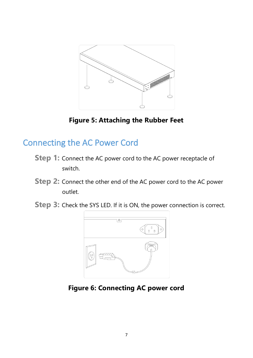

**Figure 5: Attaching the Rubber Feet**

## <span id="page-8-0"></span>Connecting the AC Power Cord

- **Step 1:** Connect the AC power cord to the AC power receptacle of switch.
- **Step 2:** Connect the other end of the AC power cord to the AC power outlet.
- **Step 3:** Check the SYS LED. If it is ON, the power connection is correct.



**Figure 6: Connecting AC power cord**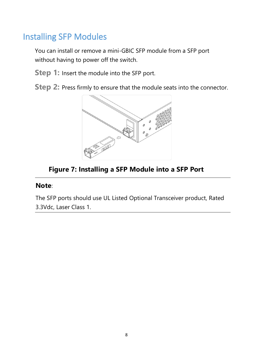# <span id="page-9-0"></span>Installing SFP Modules

You can install or remove a mini-GBIC SFP module from a SFP port without having to power off the switch.

- **Step 1:** Insert the module into the SFP port.
- **Step 2:** Press firmly to ensure that the module seats into the connector.



## **Figure 7: Installing a SFP Module into a SFP Port**

#### **Note**:

The SFP ports should use UL Listed Optional Transceiver product, Rated 3.3Vdc, Laser Class 1.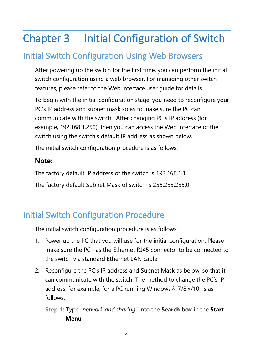# <span id="page-10-0"></span>Chapter 3 Initial Configuration of Switch

# <span id="page-10-1"></span>Initial Switch Configuration Using Web Browsers

After powering up the switch for the first time, you can perform the initial switch configuration using a web browser. For managing other switch features, please refer to the Web interface user guide for details.

To begin with the initial configuration stage, you need to reconfigure your PC's IP address and subnet mask so as to make sure the PC can communicate with the switch. After changing PC's IP address (for example, 192.168.1.250), then you can access the Web interface of the switch using the switch's default IP address as shown below.

The initial switch configuration procedure is as follows:

### **Note:**

The factory default IP address of the switch is 192.168.1.1

The factory default Subnet Mask of switch is 255.255.255.0

# <span id="page-10-2"></span>Initial Switch Configuration Procedure

The initial switch configuration procedure is as follows:

- 1. Power up the PC that you will use for the initial configuration. Please make sure the PC has the Ethernet RJ45 connector to be connected to the switch via standard Ethernet LAN cable.
- 2. Reconfigure the PC's IP address and Subnet Mask as below, so that it can communicate with the switch. The method to change the PC's IP address, for example, for a PC running Windows® 7/8.x/10, is as follows:

**Step 1:** Type "*network and sharing*" into the **Search box** in the **Start Menu**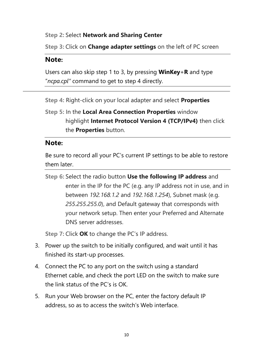#### **Step 2:** Select **Network and Sharing Center**

**Step 3:** Click on **Change adapter settings** on the left of PC screen

### **Note:**

Users can also skip step 1 to 3, by pressing **WinKey**+**R** and type "*ncpa.cpl"* command to get to step 4 directly.

**Step 4:** Right-click on your local adapter and select **Properties**

**Step 5:** In the **Local Area Connection Properties** window highlight **Internet Protocol Version 4 (TCP/IPv4)** then click the **Properties** button.

### **Note:**

Be sure to record all your PC's current IP settings to be able to restore them later.

**Step 6:** Select the radio button **Use the following IP address** and enter in the IP for the PC (e.g. any IP address not in use, and in between *192.168.1.2* and *192.168.1.254*), Subnet mask (e.g. *255.255.255.0*), and Default gateway that corresponds with your network setup. Then enter your Preferred and Alternate DNS server addresses.

**Step 7:** Click **OK** to change the PC's IP address.

- 3. Power up the switch to be initially configured, and wait until it has finished its start-up processes.
- 4. Connect the PC to any port on the switch using a standard Ethernet cable, and check the port LED on the switch to make sure the link status of the PC's is OK.
- 5. Run your Web browser on the PC, enter the factory default IP address, so as to access the switch's Web interface.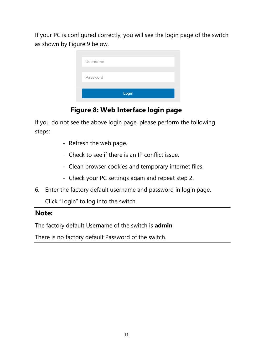If your PC is configured correctly, you will see the login page of the switch as shown by Figure 9 below.

| Password<br>Login | Username |  |
|-------------------|----------|--|
|                   |          |  |
|                   |          |  |

## **Figure 8: Web Interface login page**

If you do not see the above login page, please perform the following steps:

- Refresh the web page.
- Check to see if there is an IP conflict issue.
- Clean browser cookies and temporary internet files.
- Check your PC settings again and repeat step 2.
- 6. Enter the factory default username and password in login page.

Click "Login" to log into the switch.

### **Note:**

The factory default Username of the switch is **admin**.

There is no factory default Password of the switch.